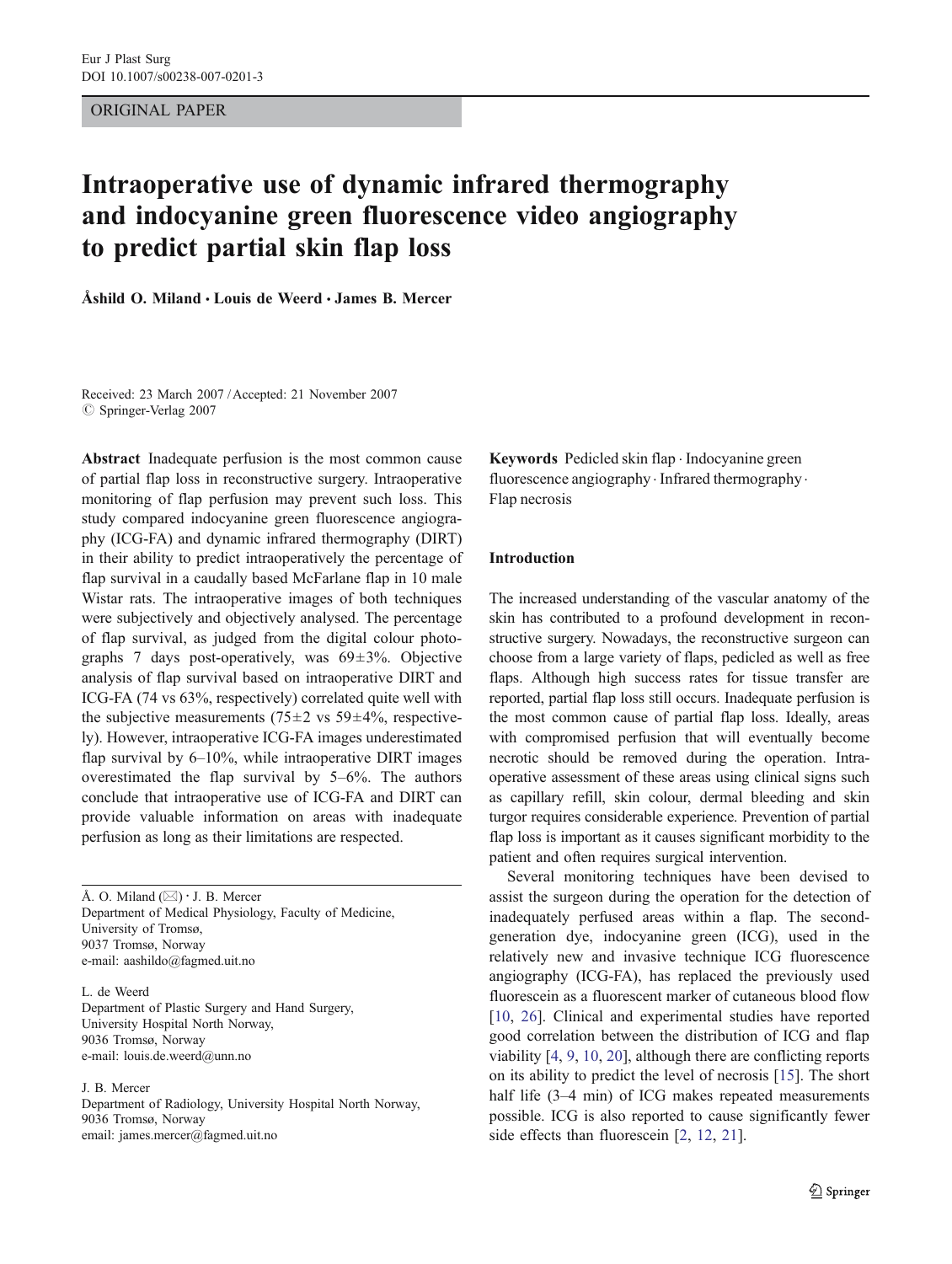ORIGINAL PAPER

# Intraoperative use of dynamic infrared thermography and indocyanine green fluorescence video angiography to predict partial skin flap loss

Åshild O. Miland  $\cdot$  Louis de Weerd  $\cdot$  James B. Mercer

Received: 23 March 2007 /Accepted: 21 November 2007  $\oslash$  Springer-Verlag 2007

Abstract Inadequate perfusion is the most common cause of partial flap loss in reconstructive surgery. Intraoperative monitoring of flap perfusion may prevent such loss. This study compared indocyanine green fluorescence angiography (ICG-FA) and dynamic infrared thermography (DIRT) in their ability to predict intraoperatively the percentage of flap survival in a caudally based McFarlane flap in 10 male Wistar rats. The intraoperative images of both techniques were subjectively and objectively analysed. The percentage of flap survival, as judged from the digital colour photographs 7 days post-operatively, was  $69 \pm 3\%$ . Objective analysis of flap survival based on intraoperative DIRT and ICG-FA (74 vs 63%, respectively) correlated quite well with the subjective measurements (75 $\pm$ 2 vs 59 $\pm$ 4%, respectively). However, intraoperative ICG-FA images underestimated flap survival by 6–10%, while intraoperative DIRT images overestimated the flap survival by 5–6%. The authors conclude that intraoperative use of ICG-FA and DIRT can provide valuable information on areas with inadequate perfusion as long as their limitations are respected.

Å. O. Miland (*\**) *:* J. B. Mercer Department of Medical Physiology, Faculty of Medicine, University of Tromsø, 9037 Tromsø, Norway e-mail: aashildo@fagmed.uit.no

L. de Weerd Department of Plastic Surgery and Hand Surgery, University Hospital North Norway, 9036 Tromsø, Norway e-mail: louis.de.weerd@unn.no

J. B. Mercer Department of Radiology, University Hospital North Norway, 9036 Tromsø, Norway email: james.mercer@fagmed.uit.no

Keywords Pedicled skin flap . Indocyanine green fluorescence angiography . Infrared thermography . Flap necrosis

# Introduction

The increased understanding of the vascular anatomy of the skin has contributed to a profound development in reconstructive surgery. Nowadays, the reconstructive surgeon can choose from a large variety of flaps, pedicled as well as free flaps. Although high success rates for tissue transfer are reported, partial flap loss still occurs. Inadequate perfusion is the most common cause of partial flap loss. Ideally, areas with compromised perfusion that will eventually become necrotic should be removed during the operation. Intraoperative assessment of these areas using clinical signs such as capillary refill, skin colour, dermal bleeding and skin turgor requires considerable experience. Prevention of partial flap loss is important as it causes significant morbidity to the patient and often requires surgical intervention.

Several monitoring techniques have been devised to assist the surgeon during the operation for the detection of inadequately perfused areas within a flap. The secondgeneration dye, indocyanine green (ICG), used in the relatively new and invasive technique ICG fluorescence angiography (ICG-FA), has replaced the previously used fluorescein as a fluorescent marker of cutaneous blood flow [\[10](#page-6-0), [26](#page-7-0)]. Clinical and experimental studies have reported good correlation between the distribution of ICG and flap viability [[4,](#page-6-0) [9,](#page-6-0) [10,](#page-6-0) [20\]](#page-7-0), although there are conflicting reports on its ability to predict the level of necrosis [\[15](#page-7-0)]. The short half life (3–4 min) of ICG makes repeated measurements possible. ICG is also reported to cause significantly fewer side effects than fluorescein [\[2](#page-6-0), [12](#page-6-0), [21\]](#page-7-0).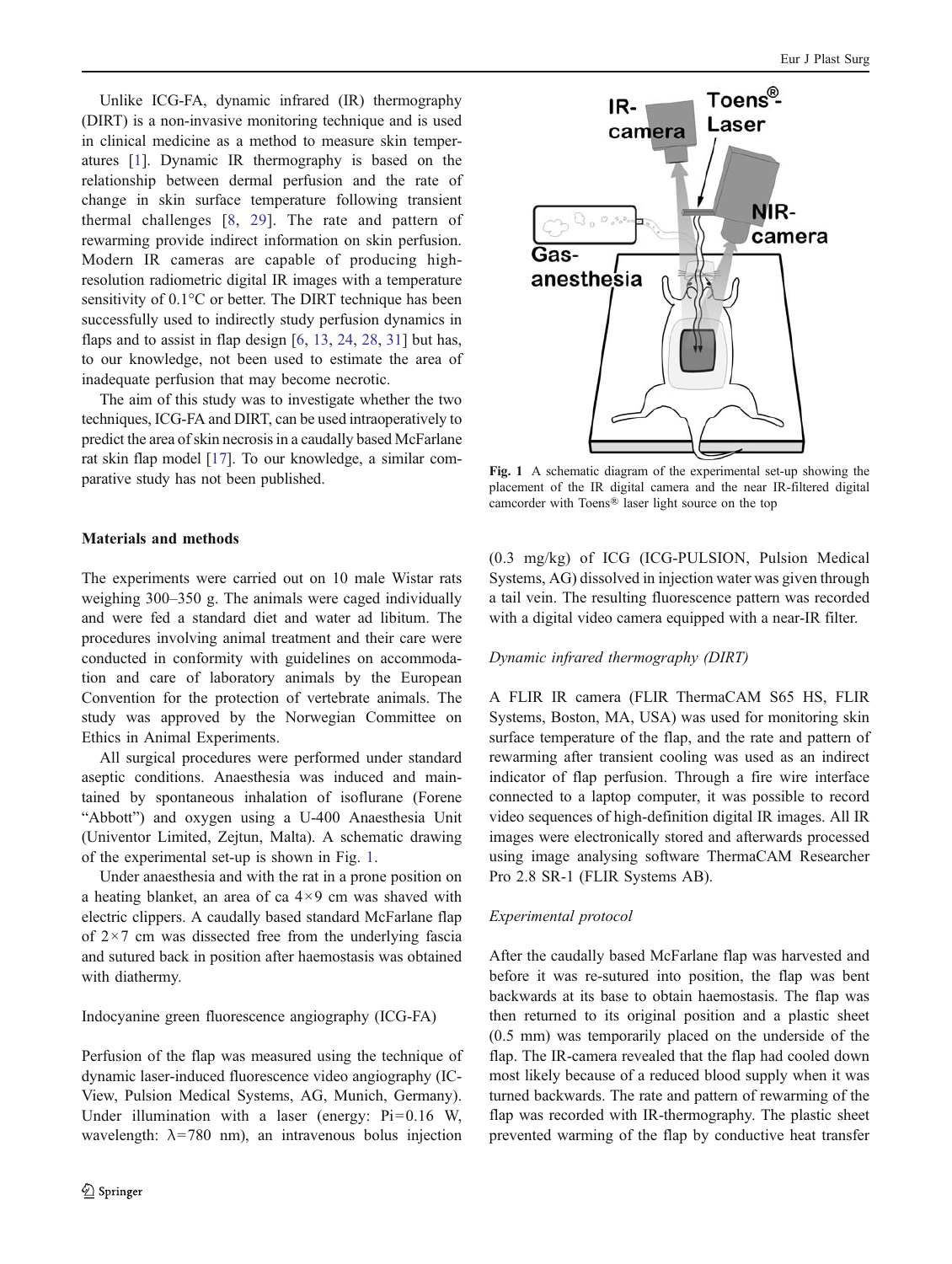Unlike ICG-FA, dynamic infrared (IR) thermography (DIRT) is a non-invasive monitoring technique and is used in clinical medicine as a method to measure skin temperatures [[1\]](#page-6-0). Dynamic IR thermography is based on the relationship between dermal perfusion and the rate of change in skin surface temperature following transient thermal challenges [\[8,](#page-6-0) [29](#page-7-0)]. The rate and pattern of rewarming provide indirect information on skin perfusion. Modern IR cameras are capable of producing highresolution radiometric digital IR images with a temperature sensitivity of 0.1°C or better. The DIRT technique has been successfully used to indirectly study perfusion dynamics in flaps and to assist in flap design [[6,](#page-6-0) [13,](#page-6-0) [24](#page-7-0), [28,](#page-7-0) [31\]](#page-7-0) but has, to our knowledge, not been used to estimate the area of inadequate perfusion that may become necrotic.

The aim of this study was to investigate whether the two techniques, ICG-FA and DIRT, can be used intraoperatively to predict the area of skin necrosis in a caudally based McFarlane rat skin flap model [\[17\]](#page-7-0). To our knowledge, a similar comparative study has not been published.

# Materials and methods

The experiments were carried out on 10 male Wistar rats weighing 300–350 g. The animals were caged individually and were fed a standard diet and water ad libitum. The procedures involving animal treatment and their care were conducted in conformity with guidelines on accommodation and care of laboratory animals by the European Convention for the protection of vertebrate animals. The study was approved by the Norwegian Committee on Ethics in Animal Experiments.

All surgical procedures were performed under standard aseptic conditions. Anaesthesia was induced and maintained by spontaneous inhalation of isoflurane (Forene "Abbott") and oxygen using a U-400 Anaesthesia Unit (Univentor Limited, Zejtun, Malta). A schematic drawing of the experimental set-up is shown in Fig. 1.

Under anaesthesia and with the rat in a prone position on a heating blanket, an area of ca  $4\times9$  cm was shaved with electric clippers. A caudally based standard McFarlane flap of  $2\times7$  cm was dissected free from the underlying fascia and sutured back in position after haemostasis was obtained with diathermy.

Indocyanine green fluorescence angiography (ICG-FA)

Perfusion of the flap was measured using the technique of dynamic laser-induced fluorescence video angiography (IC-View, Pulsion Medical Systems, AG, Munich, Germany). Under illumination with a laser (energy: Pi=0.16 W, wavelength:  $\lambda$ =780 nm), an intravenous bolus injection



Fig. 1 A schematic diagram of the experimental set-up showing the placement of the IR digital camera and the near IR-filtered digital camcorder with Toens® laser light source on the top

(0.3 mg/kg) of ICG (ICG-PULSION, Pulsion Medical Systems, AG) dissolved in injection water was given through a tail vein. The resulting fluorescence pattern was recorded with a digital video camera equipped with a near-IR filter.

# Dynamic infrared thermography (DIRT)

A FLIR IR camera (FLIR ThermaCAM S65 HS, FLIR Systems, Boston, MA, USA) was used for monitoring skin surface temperature of the flap, and the rate and pattern of rewarming after transient cooling was used as an indirect indicator of flap perfusion. Through a fire wire interface connected to a laptop computer, it was possible to record video sequences of high-definition digital IR images. All IR images were electronically stored and afterwards processed using image analysing software ThermaCAM Researcher Pro 2.8 SR-1 (FLIR Systems AB).

# Experimental protocol

After the caudally based McFarlane flap was harvested and before it was re-sutured into position, the flap was bent backwards at its base to obtain haemostasis. The flap was then returned to its original position and a plastic sheet (0.5 mm) was temporarily placed on the underside of the flap. The IR-camera revealed that the flap had cooled down most likely because of a reduced blood supply when it was turned backwards. The rate and pattern of rewarming of the flap was recorded with IR-thermography. The plastic sheet prevented warming of the flap by conductive heat transfer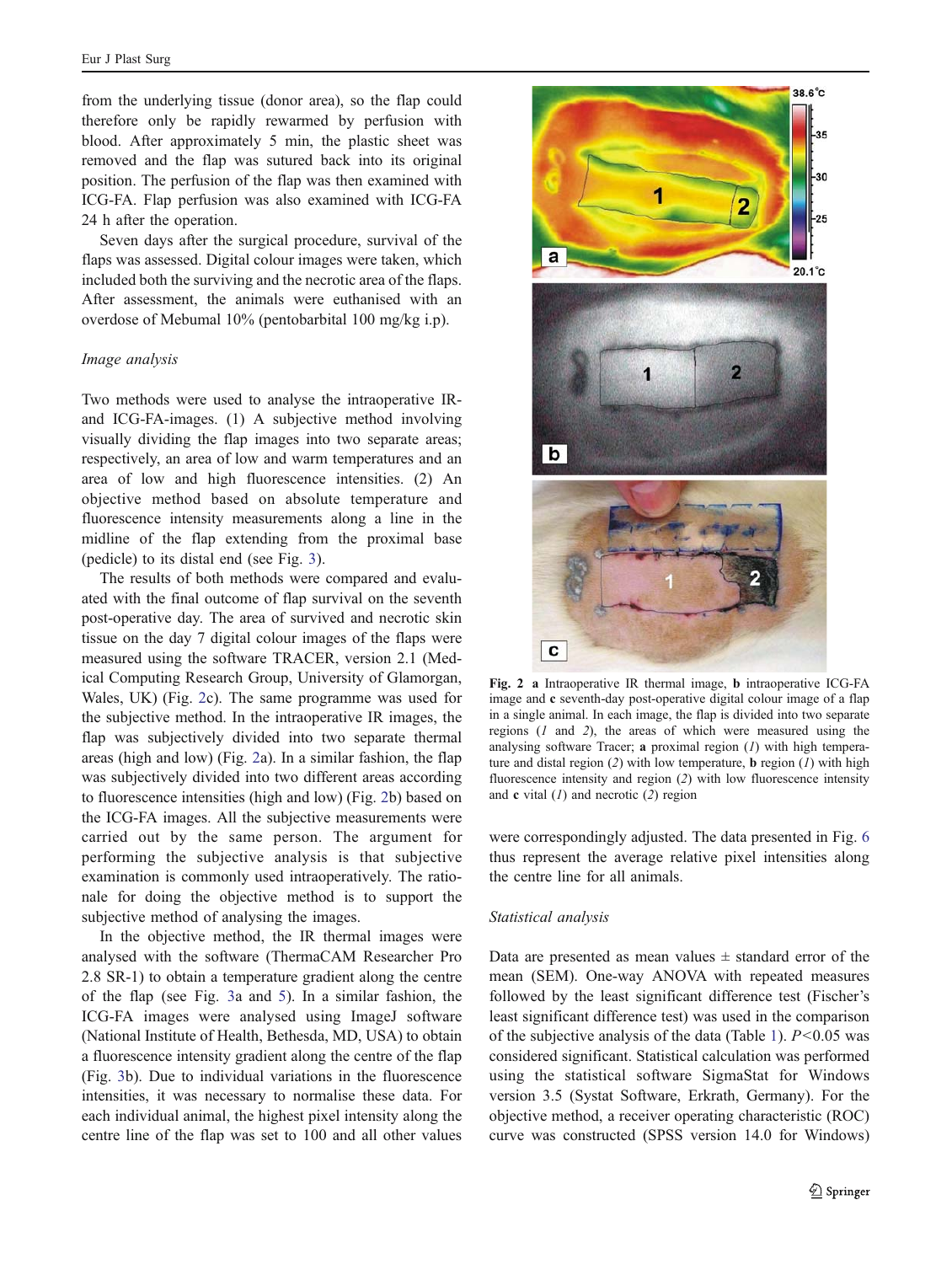<span id="page-2-0"></span>from the underlying tissue (donor area), so the flap could therefore only be rapidly rewarmed by perfusion with blood. After approximately 5 min, the plastic sheet was removed and the flap was sutured back into its original position. The perfusion of the flap was then examined with ICG-FA. Flap perfusion was also examined with ICG-FA 24 h after the operation.

Seven days after the surgical procedure, survival of the flaps was assessed. Digital colour images were taken, which included both the surviving and the necrotic area of the flaps. After assessment, the animals were euthanised with an overdose of Mebumal 10% (pentobarbital 100 mg/kg i.p).

#### Image analysis

Two methods were used to analyse the intraoperative IRand ICG-FA-images. (1) A subjective method involving visually dividing the flap images into two separate areas; respectively, an area of low and warm temperatures and an area of low and high fluorescence intensities. (2) An objective method based on absolute temperature and fluorescence intensity measurements along a line in the midline of the flap extending from the proximal base (pedicle) to its distal end (see Fig. [3](#page-3-0)).

The results of both methods were compared and evaluated with the final outcome of flap survival on the seventh post-operative day. The area of survived and necrotic skin tissue on the day 7 digital colour images of the flaps were measured using the software TRACER, version 2.1 (Medical Computing Research Group, University of Glamorgan, Wales, UK) (Fig. 2c). The same programme was used for the subjective method. In the intraoperative IR images, the flap was subjectively divided into two separate thermal areas (high and low) (Fig. 2a). In a similar fashion, the flap was subjectively divided into two different areas according to fluorescence intensities (high and low) (Fig. 2b) based on the ICG-FA images. All the subjective measurements were carried out by the same person. The argument for performing the subjective analysis is that subjective examination is commonly used intraoperatively. The rationale for doing the objective method is to support the subjective method of analysing the images.

In the objective method, the IR thermal images were analysed with the software (ThermaCAM Researcher Pro 2.8 SR-1) to obtain a temperature gradient along the centre of the flap (see Fig. [3](#page-3-0)a and [5](#page-5-0)). In a similar fashion, the ICG-FA images were analysed using ImageJ software (National Institute of Health, Bethesda, MD, USA) to obtain a fluorescence intensity gradient along the centre of the flap (Fig. [3b](#page-3-0)). Due to individual variations in the fluorescence intensities, it was necessary to normalise these data. For each individual animal, the highest pixel intensity along the centre line of the flap was set to 100 and all other values



Fig. 2 a Intraoperative IR thermal image, b intraoperative ICG-FA image and c seventh-day post-operative digital colour image of a flap in a single animal. In each image, the flap is divided into two separate regions (1 and 2), the areas of which were measured using the analysing software Tracer; a proximal region  $(I)$  with high temperature and distal region  $(2)$  with low temperature, **b** region  $(1)$  with high fluorescence intensity and region (2) with low fluorescence intensity and **c** vital  $(1)$  and necrotic  $(2)$  region

were correspondingly adjusted. The data presented in Fig. [6](#page-5-0) thus represent the average relative pixel intensities along the centre line for all animals.

#### Statistical analysis

Data are presented as mean values  $\pm$  standard error of the mean (SEM). One-way ANOVA with repeated measures followed by the least significant difference test (Fischer's least significant difference test) was used in the comparison of the subjective analysis of the data (Table [1\)](#page-3-0).  $P<0.05$  was considered significant. Statistical calculation was performed using the statistical software SigmaStat for Windows version 3.5 (Systat Software, Erkrath, Germany). For the objective method, a receiver operating characteristic (ROC) curve was constructed (SPSS version 14.0 for Windows)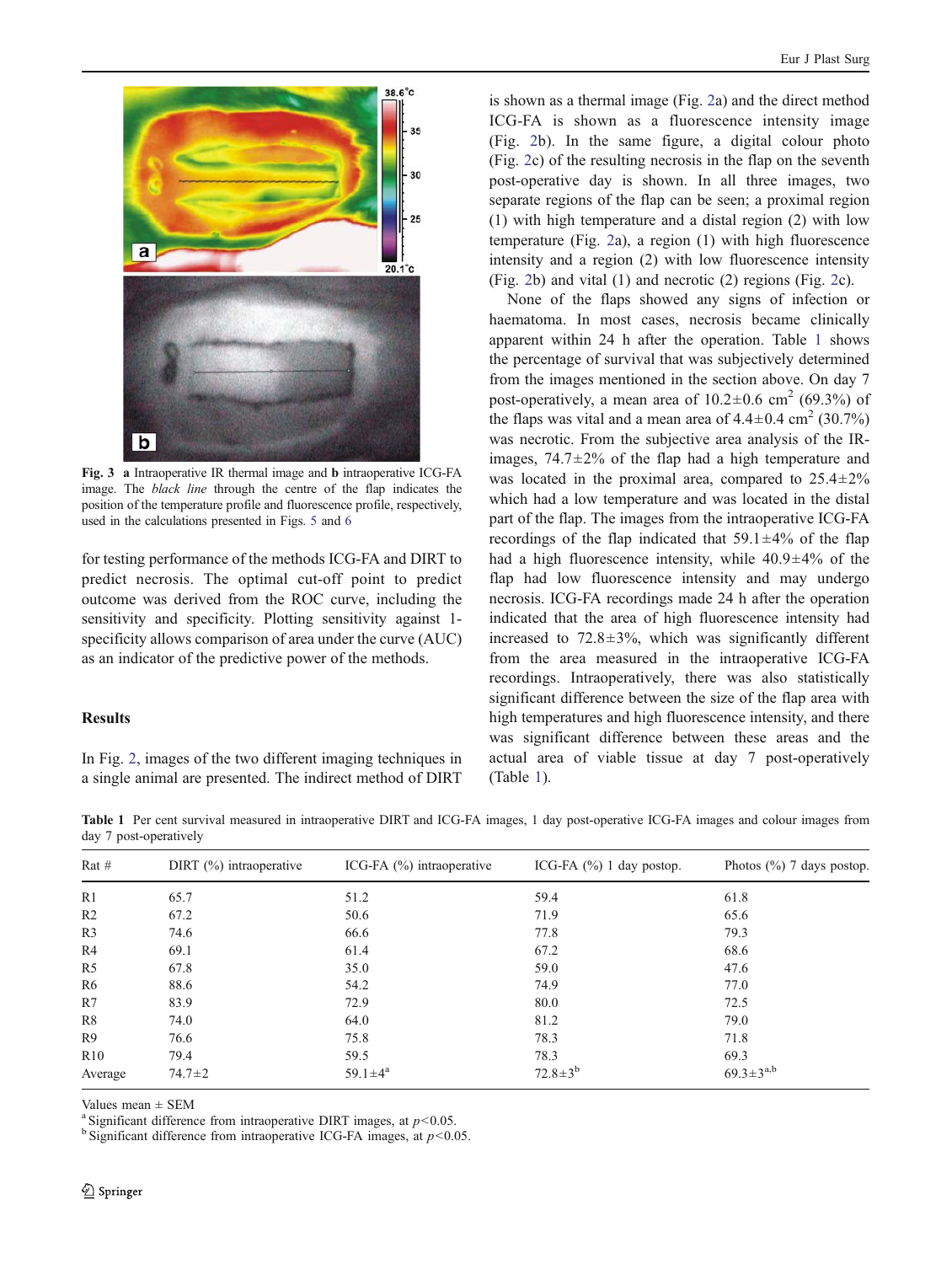<span id="page-3-0"></span>

Fig. 3 a Intraoperative IR thermal image and b intraoperative ICG-FA image. The black line through the centre of the flap indicates the position of the temperature profile and fluorescence profile, respectively, used in the calculations presented in Figs. [5](#page-5-0) and [6](#page-5-0)

for testing performance of the methods ICG-FA and DIRT to predict necrosis. The optimal cut-off point to predict outcome was derived from the ROC curve, including the sensitivity and specificity. Plotting sensitivity against 1 specificity allows comparison of area under the curve (AUC) as an indicator of the predictive power of the methods.

# Results

In Fig. [2](#page-2-0), images of the two different imaging techniques in a single animal are presented. The indirect method of DIRT

is shown as a thermal image (Fig. [2a](#page-2-0)) and the direct method ICG-FA is shown as a fluorescence intensity image (Fig. [2b](#page-2-0)). In the same figure, a digital colour photo (Fig. [2c](#page-2-0)) of the resulting necrosis in the flap on the seventh post-operative day is shown. In all three images, two separate regions of the flap can be seen; a proximal region (1) with high temperature and a distal region (2) with low temperature (Fig. [2a](#page-2-0)), a region (1) with high fluorescence intensity and a region (2) with low fluorescence intensity (Fig. [2](#page-2-0)b) and vital (1) and necrotic (2) regions (Fig. [2c](#page-2-0)).

None of the flaps showed any signs of infection or haematoma. In most cases, necrosis became clinically apparent within 24 h after the operation. Table 1 shows the percentage of survival that was subjectively determined from the images mentioned in the section above. On day 7 post-operatively, a mean area of  $10.2\pm0.6$  cm<sup>2</sup> (69.3%) of the flaps was vital and a mean area of  $4.4 \pm 0.4$  cm<sup>2</sup> (30.7%) was necrotic. From the subjective area analysis of the IRimages,  $74.7\pm2\%$  of the flap had a high temperature and was located in the proximal area, compared to  $25.4 \pm 2\%$ which had a low temperature and was located in the distal part of the flap. The images from the intraoperative ICG-FA recordings of the flap indicated that  $59.1 \pm 4\%$  of the flap had a high fluorescence intensity, while  $40.9 \pm 4\%$  of the flap had low fluorescence intensity and may undergo necrosis. ICG-FA recordings made 24 h after the operation indicated that the area of high fluorescence intensity had increased to  $72.8 \pm 3\%$ , which was significantly different from the area measured in the intraoperative ICG-FA recordings. Intraoperatively, there was also statistically significant difference between the size of the flap area with high temperatures and high fluorescence intensity, and there was significant difference between these areas and the actual area of viable tissue at day 7 post-operatively (Table 1).

Table 1 Per cent survival measured in intraoperative DIRT and ICG-FA images, 1 day post-operative ICG-FA images and colour images from day 7 post-operatively

| $Rat \#$       | DIRT $(\%)$ intraoperative | ICG-FA $(\%)$ intraoperative | ICG-FA $(%)$ 1 day postop. | Photos $(\%)$ 7 days postop. |
|----------------|----------------------------|------------------------------|----------------------------|------------------------------|
| R <sub>1</sub> | 65.7                       | 51.2                         | 59.4                       | 61.8                         |
| R <sub>2</sub> | 67.2                       | 50.6                         | 71.9                       | 65.6                         |
| R <sub>3</sub> | 74.6                       | 66.6                         | 77.8                       | 79.3                         |
| R4             | 69.1                       | 61.4                         | 67.2                       | 68.6                         |
| R <sub>5</sub> | 67.8                       | 35.0                         | 59.0                       | 47.6                         |
| R <sub>6</sub> | 88.6                       | 54.2                         | 74.9                       | 77.0                         |
| R7             | 83.9                       | 72.9                         | 80.0                       | 72.5                         |
| R <sup>8</sup> | 74.0                       | 64.0                         | 81.2                       | 79.0                         |
| R9             | 76.6                       | 75.8                         | 78.3                       | 71.8                         |
| R10            | 79.4                       | 59.5                         | 78.3                       | 69.3                         |
| Average        | $74.7 \pm 2$               | 59.1 $\pm$ 4 <sup>a</sup>    | $72.8 \pm 3^{b}$           | $69.3 \pm 3^{a,b}$           |

Values mean ± SEM

<sup>a</sup> Significant difference from intraoperative DIRT images, at  $p$  < 0.05. b Significant difference from intraoperative ICG-FA images, at  $p$  < 0.05.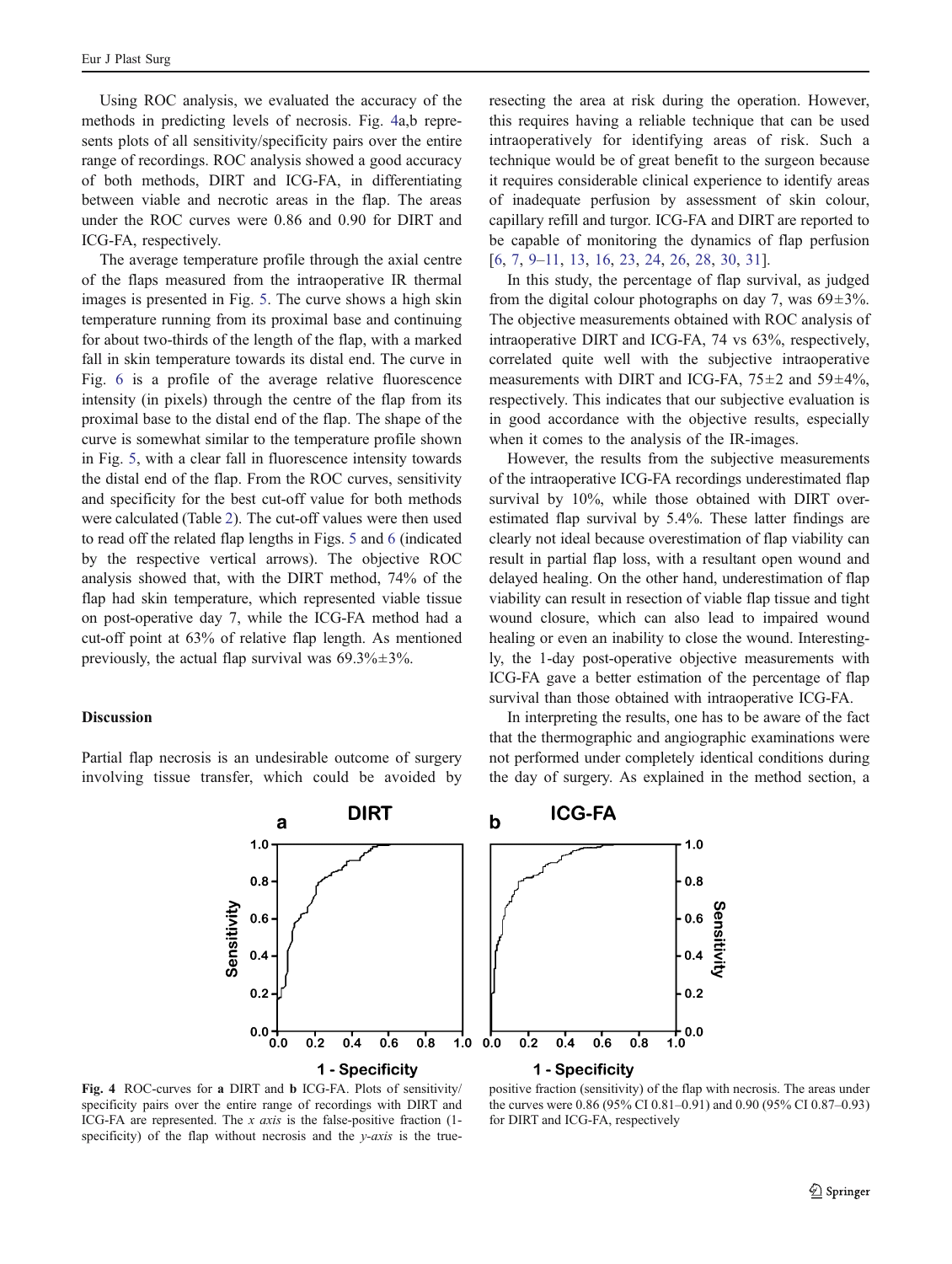Using ROC analysis, we evaluated the accuracy of the methods in predicting levels of necrosis. Fig. 4a,b represents plots of all sensitivity/specificity pairs over the entire range of recordings. ROC analysis showed a good accuracy of both methods, DIRT and ICG-FA, in differentiating between viable and necrotic areas in the flap. The areas under the ROC curves were 0.86 and 0.90 for DIRT and ICG-FA, respectively.

The average temperature profile through the axial centre of the flaps measured from the intraoperative IR thermal images is presented in Fig. [5](#page-5-0). The curve shows a high skin temperature running from its proximal base and continuing for about two-thirds of the length of the flap, with a marked fall in skin temperature towards its distal end. The curve in Fig. [6](#page-5-0) is a profile of the average relative fluorescence intensity (in pixels) through the centre of the flap from its proximal base to the distal end of the flap. The shape of the curve is somewhat similar to the temperature profile shown in Fig. [5](#page-5-0), with a clear fall in fluorescence intensity towards the distal end of the flap. From the ROC curves, sensitivity and specificity for the best cut-off value for both methods were calculated (Table [2\)](#page-5-0). The cut-off values were then used to read off the related flap lengths in Figs. [5](#page-5-0) and [6](#page-5-0) (indicated by the respective vertical arrows). The objective ROC analysis showed that, with the DIRT method, 74% of the flap had skin temperature, which represented viable tissue on post-operative day 7, while the ICG-FA method had a cut-off point at 63% of relative flap length. As mentioned previously, the actual flap survival was  $69.3\% \pm 3\%$ .

# Discussion

Partial flap necrosis is an undesirable outcome of surgery involving tissue transfer, which could be avoided by resecting the area at risk during the operation. However, this requires having a reliable technique that can be used intraoperatively for identifying areas of risk. Such a technique would be of great benefit to the surgeon because it requires considerable clinical experience to identify areas of inadequate perfusion by assessment of skin colour, capillary refill and turgor. ICG-FA and DIRT are reported to be capable of monitoring the dynamics of flap perfusion [\[6](#page-6-0), [7](#page-6-0), [9](#page-6-0)–[11,](#page-6-0) [13](#page-6-0), [16](#page-7-0), [23,](#page-7-0) [24,](#page-7-0) [26](#page-7-0), [28](#page-7-0), [30,](#page-7-0) [31\]](#page-7-0).

In this study, the percentage of flap survival, as judged from the digital colour photographs on day 7, was  $69\pm3\%$ . The objective measurements obtained with ROC analysis of intraoperative DIRT and ICG-FA, 74 vs 63%, respectively, correlated quite well with the subjective intraoperative measurements with DIRT and ICG-FA,  $75\pm2$  and  $59\pm4\%$ , respectively. This indicates that our subjective evaluation is in good accordance with the objective results, especially when it comes to the analysis of the IR-images.

However, the results from the subjective measurements of the intraoperative ICG-FA recordings underestimated flap survival by 10%, while those obtained with DIRT overestimated flap survival by 5.4%. These latter findings are clearly not ideal because overestimation of flap viability can result in partial flap loss, with a resultant open wound and delayed healing. On the other hand, underestimation of flap viability can result in resection of viable flap tissue and tight wound closure, which can also lead to impaired wound healing or even an inability to close the wound. Interestingly, the 1-day post-operative objective measurements with ICG-FA gave a better estimation of the percentage of flap survival than those obtained with intraoperative ICG-FA.

In interpreting the results, one has to be aware of the fact that the thermographic and angiographic examinations were not performed under completely identical conditions during the day of surgery. As explained in the method section, a



Fig. 4 ROC-curves for a DIRT and b ICG-FA. Plots of sensitivity/ specificity pairs over the entire range of recordings with DIRT and ICG-FA are represented. The x *axis* is the false-positive fraction  $(1$ specificity) of the flap without necrosis and the  $y$ -axis is the true-

positive fraction (sensitivity) of the flap with necrosis. The areas under the curves were 0.86 (95% CI 0.81–0.91) and 0.90 (95% CI 0.87–0.93) for DIRT and ICG-FA, respectively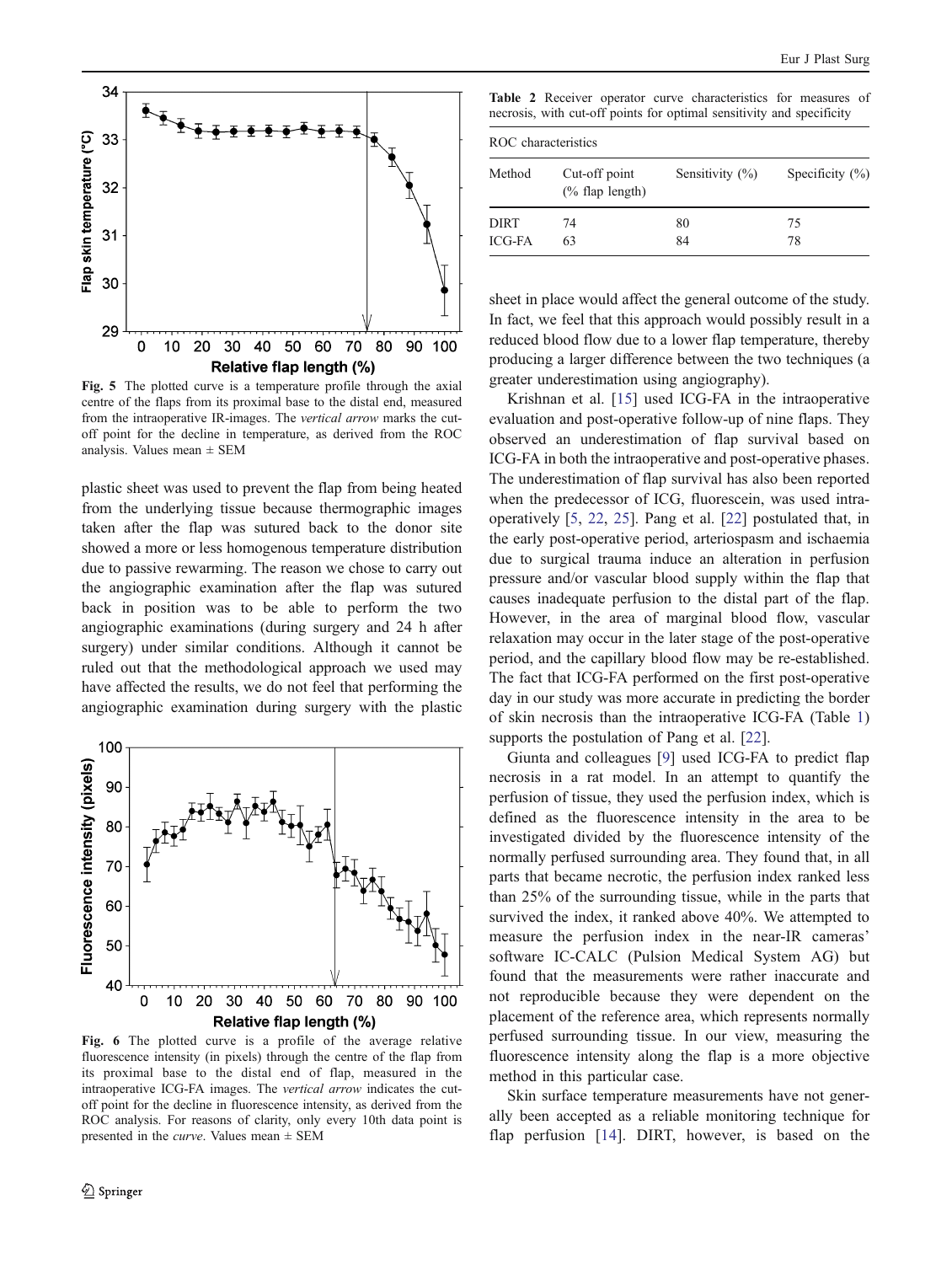<span id="page-5-0"></span>

Fig. 5 The plotted curve is a temperature profile through the axial centre of the flaps from its proximal base to the distal end, measured from the intraoperative IR-images. The vertical arrow marks the cutoff point for the decline in temperature, as derived from the ROC analysis. Values mean ± SEM

plastic sheet was used to prevent the flap from being heated from the underlying tissue because thermographic images taken after the flap was sutured back to the donor site showed a more or less homogenous temperature distribution due to passive rewarming. The reason we chose to carry out the angiographic examination after the flap was sutured back in position was to be able to perform the two angiographic examinations (during surgery and 24 h after surgery) under similar conditions. Although it cannot be ruled out that the methodological approach we used may have affected the results, we do not feel that performing the angiographic examination during surgery with the plastic



Fig. 6 The plotted curve is a profile of the average relative fluorescence intensity (in pixels) through the centre of the flap from its proximal base to the distal end of flap, measured in the intraoperative ICG-FA images. The vertical arrow indicates the cutoff point for the decline in fluorescence intensity, as derived from the ROC analysis. For reasons of clarity, only every 10th data point is presented in the *curve*. Values mean  $\pm$  SEM

Table 2 Receiver operator curve characteristics for measures of necrosis, with cut-off points for optimal sensitivity and specificity

| ROC characteristics |                                     |                    |                     |  |  |
|---------------------|-------------------------------------|--------------------|---------------------|--|--|
| Method              | Cut-off point<br>$(\%$ flap length) | Sensitivity $(\%)$ | Specificity $(\% )$ |  |  |
| <b>DIRT</b>         | 74                                  | 80                 | 75                  |  |  |
| ICG-FA              | 63                                  | 84                 | 78                  |  |  |

sheet in place would affect the general outcome of the study. In fact, we feel that this approach would possibly result in a reduced blood flow due to a lower flap temperature, thereby producing a larger difference between the two techniques (a greater underestimation using angiography).

Krishnan et al. [[15\]](#page-7-0) used ICG-FA in the intraoperative evaluation and post-operative follow-up of nine flaps. They observed an underestimation of flap survival based on ICG-FA in both the intraoperative and post-operative phases. The underestimation of flap survival has also been reported when the predecessor of ICG, fluorescein, was used intraoperatively [[5,](#page-6-0) [22](#page-7-0), [25](#page-7-0)]. Pang et al. [\[22](#page-7-0)] postulated that, in the early post-operative period, arteriospasm and ischaemia due to surgical trauma induce an alteration in perfusion pressure and/or vascular blood supply within the flap that causes inadequate perfusion to the distal part of the flap. However, in the area of marginal blood flow, vascular relaxation may occur in the later stage of the post-operative period, and the capillary blood flow may be re-established. The fact that ICG-FA performed on the first post-operative day in our study was more accurate in predicting the border of skin necrosis than the intraoperative ICG-FA (Table [1](#page-3-0)) supports the postulation of Pang et al. [[22\]](#page-7-0).

Giunta and colleagues [\[9](#page-6-0)] used ICG-FA to predict flap necrosis in a rat model. In an attempt to quantify the perfusion of tissue, they used the perfusion index, which is defined as the fluorescence intensity in the area to be investigated divided by the fluorescence intensity of the normally perfused surrounding area. They found that, in all parts that became necrotic, the perfusion index ranked less than 25% of the surrounding tissue, while in the parts that survived the index, it ranked above 40%. We attempted to measure the perfusion index in the near-IR cameras' software IC-CALC (Pulsion Medical System AG) but found that the measurements were rather inaccurate and not reproducible because they were dependent on the placement of the reference area, which represents normally perfused surrounding tissue. In our view, measuring the fluorescence intensity along the flap is a more objective method in this particular case.

Skin surface temperature measurements have not generally been accepted as a reliable monitoring technique for flap perfusion [[14](#page-6-0)]. DIRT, however, is based on the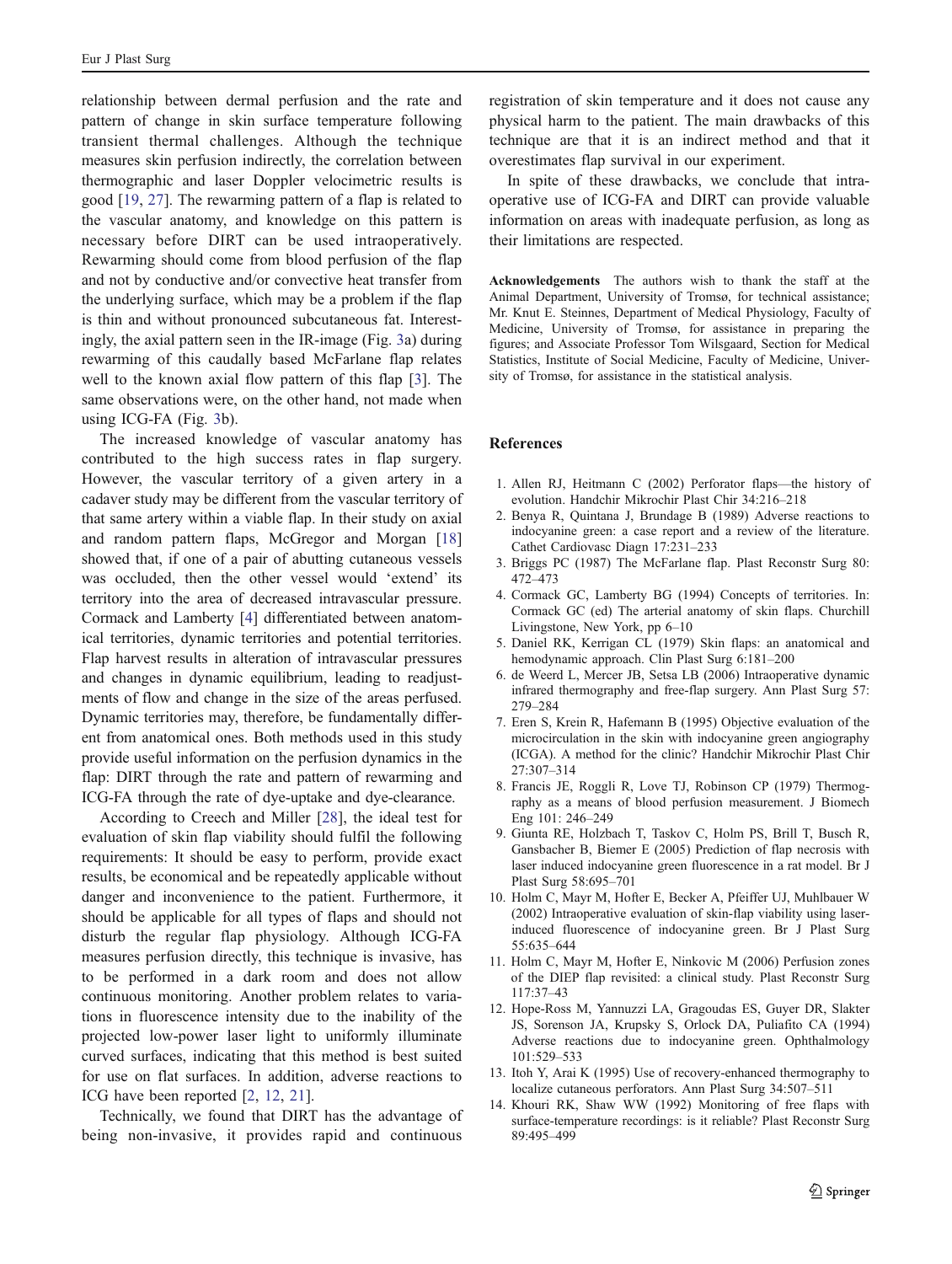<span id="page-6-0"></span>relationship between dermal perfusion and the rate and pattern of change in skin surface temperature following transient thermal challenges. Although the technique measures skin perfusion indirectly, the correlation between thermographic and laser Doppler velocimetric results is good [\[19](#page-7-0), [27\]](#page-7-0). The rewarming pattern of a flap is related to the vascular anatomy, and knowledge on this pattern is necessary before DIRT can be used intraoperatively. Rewarming should come from blood perfusion of the flap and not by conductive and/or convective heat transfer from the underlying surface, which may be a problem if the flap is thin and without pronounced subcutaneous fat. Interestingly, the axial pattern seen in the IR-image (Fig. [3](#page-3-0)a) during rewarming of this caudally based McFarlane flap relates well to the known axial flow pattern of this flap [3]. The same observations were, on the other hand, not made when using ICG-FA (Fig. [3b](#page-3-0)).

The increased knowledge of vascular anatomy has contributed to the high success rates in flap surgery. However, the vascular territory of a given artery in a cadaver study may be different from the vascular territory of that same artery within a viable flap. In their study on axial and random pattern flaps, McGregor and Morgan [\[18\]](#page-7-0) showed that, if one of a pair of abutting cutaneous vessels was occluded, then the other vessel would 'extend' its territory into the area of decreased intravascular pressure. Cormack and Lamberty [4] differentiated between anatomical territories, dynamic territories and potential territories. Flap harvest results in alteration of intravascular pressures and changes in dynamic equilibrium, leading to readjustments of flow and change in the size of the areas perfused. Dynamic territories may, therefore, be fundamentally different from anatomical ones. Both methods used in this study provide useful information on the perfusion dynamics in the flap: DIRT through the rate and pattern of rewarming and ICG-FA through the rate of dye-uptake and dye-clearance.

According to Creech and Miller [[28\]](#page-7-0), the ideal test for evaluation of skin flap viability should fulfil the following requirements: It should be easy to perform, provide exact results, be economical and be repeatedly applicable without danger and inconvenience to the patient. Furthermore, it should be applicable for all types of flaps and should not disturb the regular flap physiology. Although ICG-FA measures perfusion directly, this technique is invasive, has to be performed in a dark room and does not allow continuous monitoring. Another problem relates to variations in fluorescence intensity due to the inability of the projected low-power laser light to uniformly illuminate curved surfaces, indicating that this method is best suited for use on flat surfaces. In addition, adverse reactions to ICG have been reported [2, 12, [21](#page-7-0)].

Technically, we found that DIRT has the advantage of being non-invasive, it provides rapid and continuous

registration of skin temperature and it does not cause any physical harm to the patient. The main drawbacks of this technique are that it is an indirect method and that it overestimates flap survival in our experiment.

In spite of these drawbacks, we conclude that intraoperative use of ICG-FA and DIRT can provide valuable information on areas with inadequate perfusion, as long as their limitations are respected.

Acknowledgements The authors wish to thank the staff at the Animal Department, University of Tromsø, for technical assistance; Mr. Knut E. Steinnes, Department of Medical Physiology, Faculty of Medicine, University of Tromsø, for assistance in preparing the figures; and Associate Professor Tom Wilsgaard, Section for Medical Statistics, Institute of Social Medicine, Faculty of Medicine, University of Tromsø, for assistance in the statistical analysis.

#### References

- 1. Allen RJ, Heitmann C (2002) Perforator flaps—the history of evolution. Handchir Mikrochir Plast Chir 34:216–218
- 2. Benya R, Quintana J, Brundage B (1989) Adverse reactions to indocyanine green: a case report and a review of the literature. Cathet Cardiovasc Diagn 17:231–233
- 3. Briggs PC (1987) The McFarlane flap. Plast Reconstr Surg 80: 472–473
- 4. Cormack GC, Lamberty BG (1994) Concepts of territories. In: Cormack GC (ed) The arterial anatomy of skin flaps. Churchill Livingstone, New York, pp 6–10
- 5. Daniel RK, Kerrigan CL (1979) Skin flaps: an anatomical and hemodynamic approach. Clin Plast Surg 6:181–200
- 6. de Weerd L, Mercer JB, Setsa LB (2006) Intraoperative dynamic infrared thermography and free-flap surgery. Ann Plast Surg 57: 279–284
- 7. Eren S, Krein R, Hafemann B (1995) Objective evaluation of the microcirculation in the skin with indocyanine green angiography (ICGA). A method for the clinic? Handchir Mikrochir Plast Chir 27:307–314
- 8. Francis JE, Roggli R, Love TJ, Robinson CP (1979) Thermography as a means of blood perfusion measurement. J Biomech Eng 101: 246–249
- 9. Giunta RE, Holzbach T, Taskov C, Holm PS, Brill T, Busch R, Gansbacher B, Biemer E (2005) Prediction of flap necrosis with laser induced indocyanine green fluorescence in a rat model. Br J Plast Surg 58:695–701
- 10. Holm C, Mayr M, Hofter E, Becker A, Pfeiffer UJ, Muhlbauer W (2002) Intraoperative evaluation of skin-flap viability using laserinduced fluorescence of indocyanine green. Br J Plast Surg 55:635–644
- 11. Holm C, Mayr M, Hofter E, Ninkovic M (2006) Perfusion zones of the DIEP flap revisited: a clinical study. Plast Reconstr Surg 117:37–43
- 12. Hope-Ross M, Yannuzzi LA, Gragoudas ES, Guyer DR, Slakter JS, Sorenson JA, Krupsky S, Orlock DA, Puliafito CA (1994) Adverse reactions due to indocyanine green. Ophthalmology 101:529–533
- 13. Itoh Y, Arai K (1995) Use of recovery-enhanced thermography to localize cutaneous perforators. Ann Plast Surg 34:507–511
- 14. Khouri RK, Shaw WW (1992) Monitoring of free flaps with surface-temperature recordings: is it reliable? Plast Reconstr Surg 89:495–499